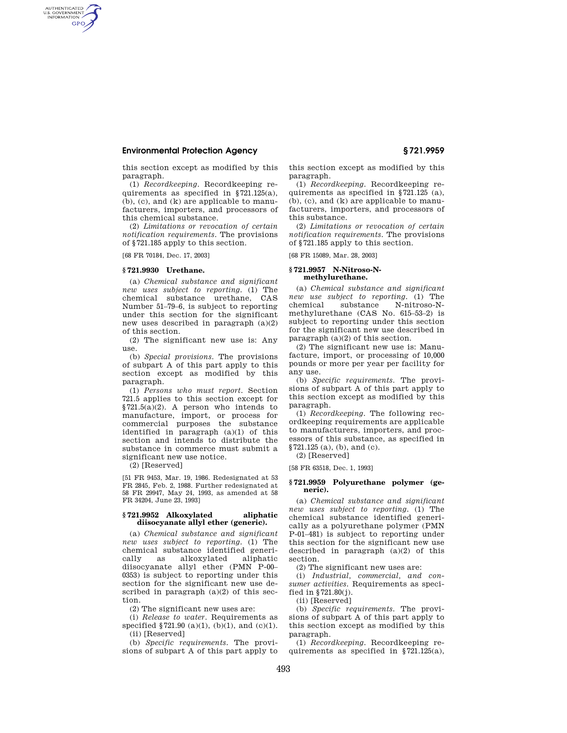## **Environmental Protection Agency § 721.9959**

this section except as modified by this paragraph.

(1) *Recordkeeping.* Recordkeeping requirements as specified in §721.125(a), (b), (c), and (k) are applicable to manufacturers, importers, and processors of this chemical substance.

(2) *Limitations or revocation of certain notification requirements.* The provisions of §721.185 apply to this section.

[68 FR 70184, Dec. 17, 2003]

### **§ 721.9930 Urethane.**

AUTHENTICATED<br>U.S. GOVERNMENT<br>INFORMATION **GPO** 

> (a) *Chemical substance and significant new uses subject to reporting.* (1) The chemical substance urethane, CAS Number 51–79–6, is subject to reporting under this section for the significant new uses described in paragraph (a)(2) of this section.

> (2) The significant new use is: Any use.

> (b) *Special provisions.* The provisions of subpart A of this part apply to this section except as modified by this paragraph.

> (1) *Persons who must report.* Section 721.5 applies to this section except for §721.5(a)(2). A person who intends to manufacture, import, or process for commercial purposes the substance identified in paragraph (a)(1) of this section and intends to distribute the substance in commerce must submit a significant new use notice.

(2) [Reserved]

[51 FR 9453, Mar. 19, 1986. Redesignated at 53 FR 2845, Feb. 2, 1988. Further redesignated at 58 FR 29947, May 24, 1993, as amended at 58 FR 34204, June 23, 1993]

#### **§ 721.9952 Alkoxylated aliphatic diisocyanate allyl ether (generic).**

(a) *Chemical substance and significant new uses subject to reporting.* (1) The chemical substance identified generically as alkoxylated aliphatic diisocyanate allyl ether (PMN P-00– 0353) is subject to reporting under this section for the significant new use described in paragraph  $(a)(2)$  of this section.

(2) The significant new uses are:

(i) *Release to water.* Requirements as specified §721.90 (a)(1), (b)(1), and (c)(1). (ii) [Reserved]

(b) *Specific requirements.* The provisions of subpart A of this part apply to this section except as modified by this paragraph.

(1) *Recordkeeping.* Recordkeeping requirements as specified in §721.125 (a), (b), (c), and (k) are applicable to manufacturers, importers, and processors of this substance.

(2) *Limitations or revocation of certain notification requirements.* The provisions of §721.185 apply to this section.

[68 FR 15089, Mar. 28, 2003]

#### **§ 721.9957 N-Nitroso-Nmethylurethane.**

(a) *Chemical substance and significant new use subject to reporting.* (1) The N-nitroso-Nmethylurethane (CAS No. 615–53–2) is subject to reporting under this section for the significant new use described in paragraph (a)(2) of this section.

(2) The significant new use is: Manufacture, import, or processing of 10,000 pounds or more per year per facility for any use.

(b) *Specific requirements.* The provisions of subpart A of this part apply to this section except as modified by this paragraph.

(1) *Recordkeeping.* The following recordkeeping requirements are applicable to manufacturers, importers, and processors of this substance, as specified in §721.125 (a), (b), and (c).

(2) [Reserved]

[58 FR 63518, Dec. 1, 1993]

### **§ 721.9959 Polyurethane polymer (generic).**

(a) *Chemical substance and significant new uses subject to reporting.* (1) The chemical substance identified generically as a polyurethane polymer (PMN P-01–481) is subject to reporting under this section for the significant new use described in paragraph (a)(2) of this section.

(2) The significant new uses are:

(i) *Industrial, commercial, and consumer activities.* Requirements as specified in §721.80(j).

(ii) [Reserved]

(b) *Specific requirements.* The provisions of subpart A of this part apply to this section except as modified by this paragraph.

(1) *Recordkeeping.* Recordkeeping requirements as specified in  $\S 721.125(a)$ ,